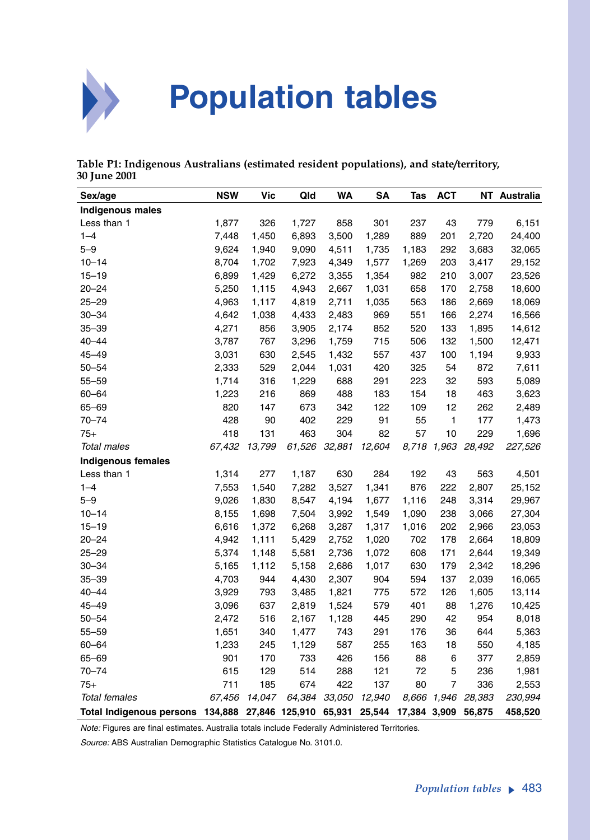

## **Population tables**

**Table P1: Indigenous Australians (estimated resident populations), and state/territory, 30 June 2001**

| Sex/age                         | <b>NSW</b> | <b>Vic</b> | Qld            | <b>WA</b> | <b>SA</b> | Tas          | <b>ACT</b>     | <b>NT</b> | Australia |
|---------------------------------|------------|------------|----------------|-----------|-----------|--------------|----------------|-----------|-----------|
| <b>Indigenous males</b>         |            |            |                |           |           |              |                |           |           |
| Less than 1                     | 1,877      | 326        | 1,727          | 858       | 301       | 237          | 43             | 779       | 6,151     |
| $1 - 4$                         | 7,448      | 1,450      | 6,893          | 3,500     | 1,289     | 889          | 201            | 2,720     | 24,400    |
| $5 - 9$                         | 9,624      | 1,940      | 9,090          | 4,511     | 1,735     | 1,183        | 292            | 3,683     | 32,065    |
| $10 - 14$                       | 8,704      | 1,702      | 7,923          | 4,349     | 1,577     | 1,269        | 203            | 3,417     | 29,152    |
| $15 - 19$                       | 6,899      | 1,429      | 6,272          | 3,355     | 1,354     | 982          | 210            | 3,007     | 23,526    |
| $20 - 24$                       | 5,250      | 1,115      | 4,943          | 2,667     | 1,031     | 658          | 170            | 2,758     | 18,600    |
| $25 - 29$                       | 4,963      | 1,117      | 4,819          | 2,711     | 1,035     | 563          | 186            | 2,669     | 18,069    |
| $30 - 34$                       | 4,642      | 1,038      | 4,433          | 2,483     | 969       | 551          | 166            | 2,274     | 16,566    |
| $35 - 39$                       | 4,271      | 856        | 3,905          | 2,174     | 852       | 520          | 133            | 1,895     | 14,612    |
| $40 - 44$                       | 3,787      | 767        | 3,296          | 1,759     | 715       | 506          | 132            | 1,500     | 12,471    |
| 45–49                           | 3,031      | 630        | 2,545          | 1,432     | 557       | 437          | 100            | 1,194     | 9,933     |
| $50 - 54$                       | 2,333      | 529        | 2,044          | 1,031     | 420       | 325          | 54             | 872       | 7,611     |
| $55 - 59$                       | 1,714      | 316        | 1,229          | 688       | 291       | 223          | 32             | 593       | 5,089     |
| $60 - 64$                       | 1,223      | 216        | 869            | 488       | 183       | 154          | 18             | 463       | 3,623     |
| 65-69                           | 820        | 147        | 673            | 342       | 122       | 109          | 12             | 262       | 2,489     |
| 70-74                           | 428        | 90         | 402            | 229       | 91        | 55           | 1              | 177       | 1,473     |
| $75+$                           | 418        | 131        | 463            | 304       | 82        | 57           | 10             | 229       | 1,696     |
| <b>Total males</b>              | 67,432     | 13,799     | 61,526         | 32,881    | 12,604    | 8.718        | 1,963          | 28,492    | 227,526   |
| <b>Indigenous females</b>       |            |            |                |           |           |              |                |           |           |
| Less than 1                     | 1,314      | 277        | 1,187          | 630       | 284       | 192          | 43             | 563       | 4,501     |
| $1 - 4$                         | 7,553      | 1,540      | 7,282          | 3,527     | 1,341     | 876          | 222            | 2,807     | 25,152    |
| $5 - 9$                         | 9,026      | 1,830      | 8,547          | 4,194     | 1,677     | 1,116        | 248            | 3,314     | 29,967    |
| $10 - 14$                       | 8,155      | 1,698      | 7,504          | 3,992     | 1,549     | 1,090        | 238            | 3,066     | 27,304    |
| $15 - 19$                       | 6,616      | 1,372      | 6,268          | 3,287     | 1,317     | 1,016        | 202            | 2,966     | 23,053    |
| $20 - 24$                       | 4,942      | 1,111      | 5,429          | 2,752     | 1,020     | 702          | 178            | 2,664     | 18,809    |
| $25 - 29$                       | 5,374      | 1,148      | 5,581          | 2,736     | 1,072     | 608          | 171            | 2,644     | 19,349    |
| $30 - 34$                       | 5,165      | 1,112      | 5,158          | 2,686     | 1,017     | 630          | 179            | 2,342     | 18,296    |
| $35 - 39$                       | 4,703      | 944        | 4,430          | 2,307     | 904       | 594          | 137            | 2,039     | 16,065    |
| $40 - 44$                       | 3,929      | 793        | 3,485          | 1,821     | 775       | 572          | 126            | 1,605     | 13,114    |
| $45 - 49$                       | 3,096      | 637        | 2,819          | 1,524     | 579       | 401          | 88             | 1,276     | 10,425    |
| $50 - 54$                       | 2,472      | 516        | 2,167          | 1,128     | 445       | 290          | 42             | 954       | 8,018     |
| $55 - 59$                       | 1,651      | 340        | 1,477          | 743       | 291       | 176          | 36             | 644       | 5,363     |
| $60 - 64$                       | 1,233      | 245        | 1,129          | 587       | 255       | 163          | 18             | 550       | 4,185     |
| 65-69                           | 901        | 170        | 733            | 426       | 156       | 88           | 6              | 377       | 2,859     |
| $70 - 74$                       | 615        | 129        | 514            | 288       | 121       | 72           | 5              | 236       | 1,981     |
| 75+                             | 711        | 185        | 674            | 422       | 137       | 80           | $\overline{7}$ | 336       | 2,553     |
| <b>Total females</b>            | 67,456     | 14,047     | 64,384         | 33,050    | 12,940    |              | 8,666 1,946    | 28,383    | 230,994   |
| <b>Total Indigenous persons</b> | 134,888    |            | 27,846 125,910 | 65,931    | 25,544    | 17,384 3,909 |                | 56,875    | 458,520   |

*Note:* Figures are final estimates. Australia totals include Federally Administered Territories.

*Source:* ABS Australian Demographic Statistics Catalogue No. 3101.0.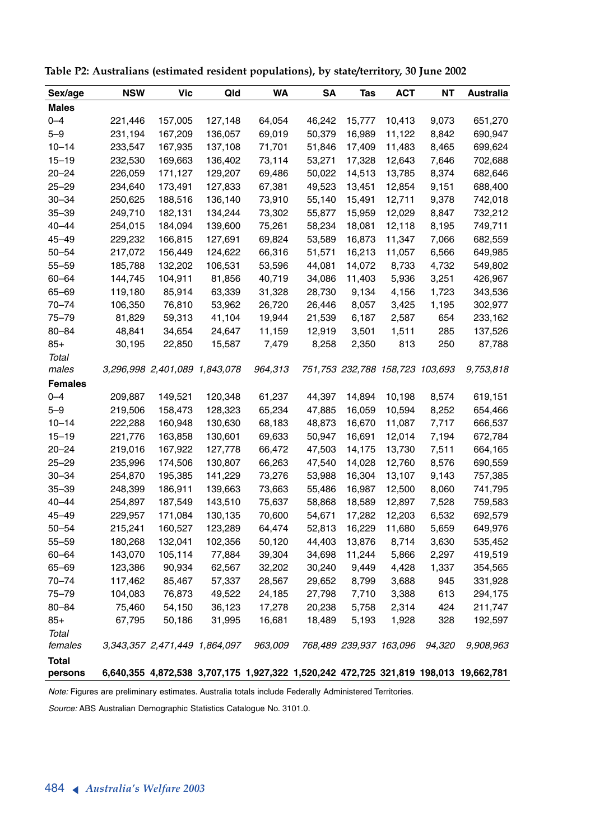| Sex/age        | <b>NSW</b> | Vic                           | Qld     | WA      | SΑ     | Tas                             | ACT    | <b>NT</b> | Australia                                                                            |
|----------------|------------|-------------------------------|---------|---------|--------|---------------------------------|--------|-----------|--------------------------------------------------------------------------------------|
| <b>Males</b>   |            |                               |         |         |        |                                 |        |           |                                                                                      |
| $0 - 4$        | 221,446    | 157,005                       | 127,148 | 64,054  | 46,242 | 15,777                          | 10,413 | 9,073     | 651,270                                                                              |
| $5 - 9$        | 231,194    | 167,209                       | 136,057 | 69,019  | 50,379 | 16,989                          | 11,122 | 8,842     | 690,947                                                                              |
| $10 - 14$      | 233,547    | 167,935                       | 137,108 | 71,701  | 51,846 | 17,409                          | 11,483 | 8,465     | 699,624                                                                              |
| $15 - 19$      | 232,530    | 169,663                       | 136,402 | 73,114  | 53,271 | 17,328                          | 12,643 | 7,646     | 702,688                                                                              |
| $20 - 24$      | 226,059    | 171,127                       | 129,207 | 69,486  | 50,022 | 14,513                          | 13,785 | 8,374     | 682,646                                                                              |
| $25 - 29$      | 234,640    | 173,491                       | 127,833 | 67,381  | 49,523 | 13,451                          | 12,854 | 9,151     | 688,400                                                                              |
| $30 - 34$      | 250,625    | 188,516                       | 136,140 | 73,910  | 55,140 | 15,491                          | 12,711 | 9,378     | 742,018                                                                              |
| $35 - 39$      | 249,710    | 182,131                       | 134,244 | 73,302  | 55,877 | 15,959                          | 12,029 | 8,847     | 732,212                                                                              |
| $40 - 44$      | 254,015    | 184,094                       | 139,600 | 75,261  | 58,234 | 18,081                          | 12,118 | 8,195     | 749,711                                                                              |
| $45 - 49$      | 229,232    | 166,815                       | 127,691 | 69,824  | 53,589 | 16,873                          | 11,347 | 7,066     | 682,559                                                                              |
| $50 - 54$      | 217,072    | 156,449                       | 124,622 | 66,316  | 51,571 | 16,213                          | 11,057 | 6,566     | 649,985                                                                              |
| $55 - 59$      | 185,788    | 132,202                       | 106,531 | 53,596  | 44,081 | 14,072                          | 8,733  | 4,732     | 549,802                                                                              |
| $60 - 64$      | 144,745    | 104,911                       | 81,856  | 40,719  | 34,086 | 11,403                          | 5,936  | 3,251     | 426,967                                                                              |
| $65 - 69$      | 119,180    | 85,914                        | 63,339  | 31,328  | 28,730 | 9,134                           | 4,156  | 1,723     | 343,536                                                                              |
| $70 - 74$      | 106,350    | 76,810                        | 53,962  | 26,720  | 26,446 | 8,057                           | 3,425  | 1,195     | 302,977                                                                              |
| $75 - 79$      | 81,829     | 59,313                        | 41,104  | 19,944  | 21,539 | 6,187                           | 2,587  | 654       | 233,162                                                                              |
| $80 - 84$      | 48,841     | 34,654                        | 24,647  | 11,159  | 12,919 | 3,501                           | 1,511  | 285       | 137,526                                                                              |
| $85+$          | 30,195     | 22,850                        | 15,587  | 7,479   | 8,258  | 2,350                           | 813    | 250       | 87,788                                                                               |
| Total          |            |                               |         |         |        |                                 |        |           |                                                                                      |
| males          |            | 3,296,998 2,401,089 1,843,078 |         | 964,313 |        | 751,753 232,788 158,723 103,693 |        |           | 9,753,818                                                                            |
| <b>Females</b> |            |                               |         |         |        |                                 |        |           |                                                                                      |
| $0 - 4$        | 209,887    | 149,521                       | 120,348 | 61,237  | 44,397 | 14,894                          | 10,198 | 8,574     | 619,151                                                                              |
| $5 - 9$        | 219,506    | 158,473                       | 128,323 | 65,234  | 47,885 | 16,059                          | 10,594 | 8,252     | 654,466                                                                              |
| $10 - 14$      | 222,288    | 160,948                       | 130,630 | 68,183  | 48,873 | 16,670                          | 11,087 | 7,717     | 666,537                                                                              |
| $15 - 19$      | 221,776    | 163,858                       | 130,601 | 69,633  | 50,947 | 16,691                          | 12,014 | 7,194     | 672,784                                                                              |
| $20 - 24$      | 219,016    | 167,922                       | 127,778 | 66,472  | 47,503 | 14,175                          | 13,730 | 7,511     | 664,165                                                                              |
| $25 - 29$      | 235,996    | 174,506                       | 130,807 | 66,263  | 47,540 | 14,028                          | 12,760 | 8,576     | 690,559                                                                              |
| $30 - 34$      | 254,870    | 195,385                       | 141,229 | 73,276  | 53,988 | 16,304                          | 13,107 | 9,143     | 757,385                                                                              |
| $35 - 39$      | 248,399    | 186,911                       | 139,663 | 73,663  | 55,486 | 16,987                          | 12,500 | 8,060     | 741,795                                                                              |
| $40 - 44$      | 254,897    | 187,549                       | 143,510 | 75,637  | 58,868 | 18,589                          | 12,897 | 7,528     | 759,583                                                                              |
| $45 - 49$      | 229,957    | 171,084                       | 130,135 | 70,600  | 54,671 | 17,282                          | 12,203 | 6,532     | 692,579                                                                              |
| $50 - 54$      | 215,241    | 160,527                       | 123,289 | 64,474  | 52,813 | 16,229                          | 11,680 | 5,659     | 649,976                                                                              |
| $55 - 59$      | 180,268    | 132,041                       | 102,356 | 50,120  | 44,403 | 13,876                          | 8,714  | 3,630     | 535,452                                                                              |
| $60 - 64$      | 143,070    | 105,114                       | 77,884  | 39,304  | 34,698 | 11,244                          | 5,866  | 2,297     | 419,519                                                                              |
| 65-69          | 123,386    | 90,934                        | 62,567  | 32,202  | 30,240 | 9,449                           | 4,428  | 1,337     | 354,565                                                                              |
| $70 - 74$      | 117,462    | 85,467                        | 57,337  | 28,567  | 29,652 | 8,799                           | 3,688  | 945       | 331,928                                                                              |
| $75 - 79$      | 104,083    | 76,873                        | 49,522  | 24,185  | 27,798 | 7,710                           | 3,388  | 613       | 294,175                                                                              |
| $80 - 84$      | 75,460     | 54,150                        | 36,123  | 17,278  | 20,238 | 5,758                           | 2,314  | 424       | 211,747                                                                              |
| $85+$          | 67,795     | 50,186                        | 31,995  | 16,681  | 18,489 | 5,193                           | 1,928  | 328       | 192,597                                                                              |
| Total          |            |                               |         |         |        |                                 |        |           |                                                                                      |
| females        |            | 3,343,357 2,471,449 1,864,097 |         | 963.009 |        | 768,489 239,937 163,096         |        | 94.320    | 9,908,963                                                                            |
| <b>Total</b>   |            |                               |         |         |        |                                 |        |           |                                                                                      |
| persons        |            |                               |         |         |        |                                 |        |           | 6,640,355 4,872,538 3,707,175 1,927,322 1,520,242 472,725 321,819 198,013 19,662,781 |

**Table P2: Australians (estimated resident populations), by state/territory, 30 June 2002**

*Note:* Figures are preliminary estimates. Australia totals include Federally Administered Territories.

*Source:* ABS Australian Demographic Statistics Catalogue No. 3101.0.